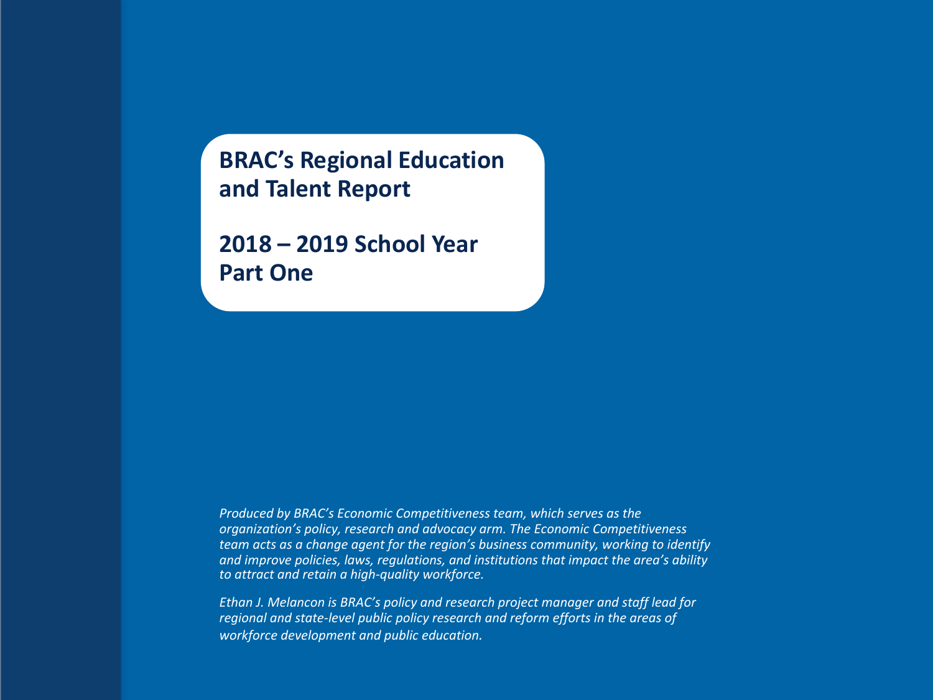**BRAC's Regional Education and Talent Report**

**2018 – 2019 School Year Part One**

*Produced by BRAC's Economic Competitiveness team, which serves as the organization's policy, research and advocacy arm. The Economic Competitiveness team acts as a change agent for the region's business community, working to identify and improve policies, laws, regulations, and institutions that impact the area's ability to attract and retain a high-quality workforce.* 

*Ethan J. Melancon is BRAC's policy and research project manager and staff lead for regional and state-level public policy research and reform efforts in the areas of workforce development and public education.*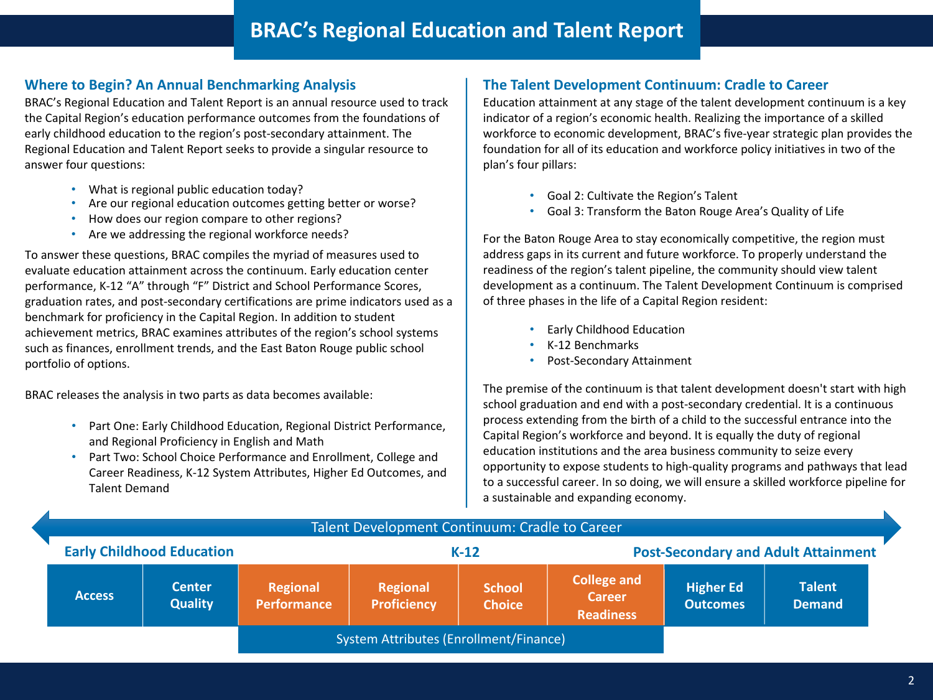## **Where to Begin? An Annual Benchmarking Analysis**

BRAC's Regional Education and Talent Report is an annual resource used to track the Capital Region's education performance outcomes from the foundations of early childhood education to the region's post-secondary attainment. The Regional Education and Talent Report seeks to provide a singular resource to answer four questions:

- What is regional public education today?
- Are our regional education outcomes getting better or worse?
- How does our region compare to other regions?
- Are we addressing the regional workforce needs?

To answer these questions, BRAC compiles the myriad of measures used to evaluate education attainment across the continuum. Early education center performance, K-12 "A" through "F" District and School Performance Scores, graduation rates, and post-secondary certifications are prime indicators used as a benchmark for proficiency in the Capital Region. In addition to student achievement metrics, BRAC examines attributes of the region's school systems such as finances, enrollment trends, and the East Baton Rouge public school portfolio of options.

BRAC releases the analysis in two parts as data becomes available:

- Part One: Early Childhood Education, Regional District Performance, and Regional Proficiency in English and Math
- Part Two: School Choice Performance and Enrollment, College and Career Readiness, K-12 System Attributes, Higher Ed Outcomes, and Talent Demand

## **The Talent Development Continuum: Cradle to Career**

Education attainment at any stage of the talent development continuum is a key indicator of a region's economic health. Realizing the importance of a skilled workforce to economic development, BRAC's five-year strategic plan provides the foundation for all of its education and workforce policy initiatives in two of the plan's four pillars:

- Goal 2: Cultivate the Region's Talent
- Goal 3: Transform the Baton Rouge Area's Quality of Life

For the Baton Rouge Area to stay economically competitive, the region must address gaps in its current and future workforce. To properly understand the readiness of the region's talent pipeline, the community should view talent development as a continuum. The Talent Development Continuum is comprised of three phases in the life of a Capital Region resident:

- Early Childhood Education
- K-12 Benchmarks
- Post-Secondary Attainment

The premise of the continuum is that talent development doesn't start with high school graduation and end with a post-secondary credential. It is a continuous process extending from the birth of a child to the successful entrance into the Capital Region's workforce and beyond. It is equally the duty of regional education institutions and the area business community to seize every opportunity to expose students to high-quality programs and pathways that lead to a successful career. In so doing, we will ensure a skilled workforce pipeline for a sustainable and expanding economy.

| Talent Development Continuum: Cradle to Career |                                 |                                        |                                |                                |                                                         |                                     |                                |  |
|------------------------------------------------|---------------------------------|----------------------------------------|--------------------------------|--------------------------------|---------------------------------------------------------|-------------------------------------|--------------------------------|--|
| <b>Early Childhood Education</b>               |                                 |                                        | $K-12$                         |                                | <b>Post-Secondary and Adult Attainment</b>              |                                     |                                |  |
| <b>Access</b>                                  | <b>Center</b><br><b>Quality</b> | Regional<br><b>Performance</b>         | Regional<br><b>Proficiency</b> | <b>School</b><br><b>Choice</b> | <b>College and</b><br><b>Career</b><br><b>Readiness</b> | <b>Higher Ed</b><br><b>Outcomes</b> | <b>Talent</b><br><b>Demand</b> |  |
|                                                |                                 | System Attributes (Enrollment/Finance) |                                |                                |                                                         |                                     |                                |  |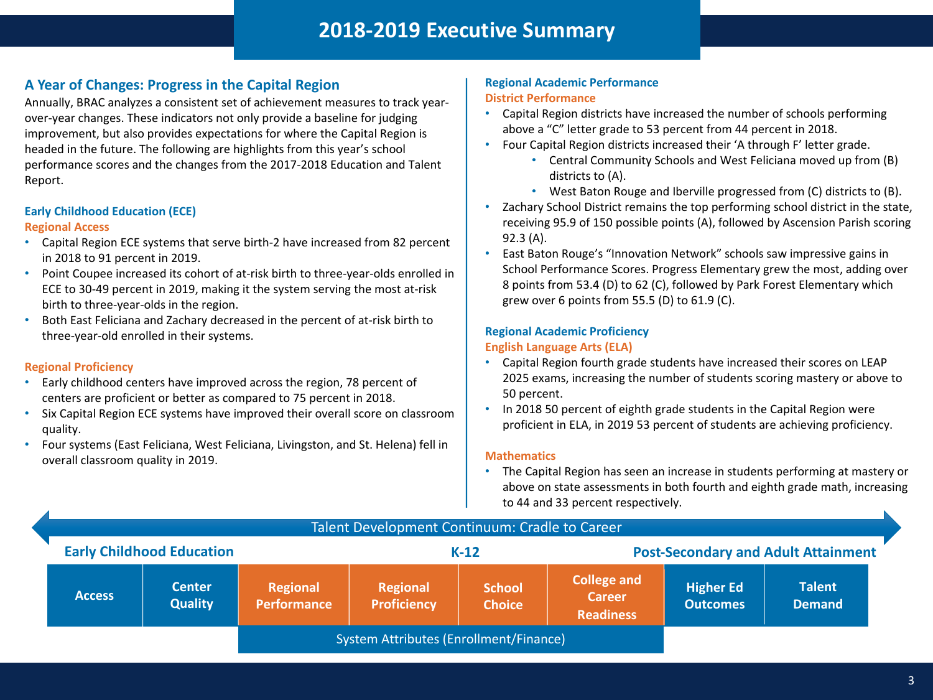# **2018-2019 Executive Summary**

## **A Year of Changes: Progress in the Capital Region**

Annually, BRAC analyzes a consistent set of achievement measures to track yearover-year changes. These indicators not only provide a baseline for judging improvement, but also provides expectations for where the Capital Region is headed in the future. The following are highlights from this year's school performance scores and the changes from the 2017-2018 Education and Talent Report.

### **Early Childhood Education (ECE) Regional Access**

- Capital Region ECE systems that serve birth-2 have increased from 82 percent in 2018 to 91 percent in 2019.
- Point Coupee increased its cohort of at-risk birth to three-year-olds enrolled in ECE to 30-49 percent in 2019, making it the system serving the most at-risk birth to three-year-olds in the region.
- Both East Feliciana and Zachary decreased in the percent of at-risk birth to three-year-old enrolled in their systems.

## **Regional Proficiency**

- Early childhood centers have improved across the region, 78 percent of centers are proficient or better as compared to 75 percent in 2018.
- Six Capital Region ECE systems have improved their overall score on classroom quality.
- Four systems (East Feliciana, West Feliciana, Livingston, and St. Helena) fell in overall classroom quality in 2019.

## **Regional Academic Performance District Performance**

- Capital Region districts have increased the number of schools performing above a "C" letter grade to 53 percent from 44 percent in 2018.
- Four Capital Region districts increased their 'A through F' letter grade.
	- Central Community Schools and West Feliciana moved up from (B) districts to (A).
	- West Baton Rouge and Iberville progressed from (C) districts to (B).
- Zachary School District remains the top performing school district in the state, receiving 95.9 of 150 possible points (A), followed by Ascension Parish scoring 92.3 (A).
- East Baton Rouge's "Innovation Network" schools saw impressive gains in School Performance Scores. Progress Elementary grew the most, adding over 8 points from 53.4 (D) to 62 (C), followed by Park Forest Elementary which grew over 6 points from 55.5 (D) to 61.9 (C).

## **Regional Academic Proficiency**

## **English Language Arts (ELA)**

- Capital Region fourth grade students have increased their scores on LEAP 2025 exams, increasing the number of students scoring mastery or above to 50 percent.
- In 2018 50 percent of eighth grade students in the Capital Region were proficient in ELA, in 2019 53 percent of students are achieving proficiency.

### **Mathematics**

• The Capital Region has seen an increase in students performing at mastery or above on state assessments in both fourth and eighth grade math, increasing to 44 and 33 percent respectively.

| Talent Development Continuum: Cradle to Career |                                 |                                |                                       |                                |                                                         |                                            |                                |  |
|------------------------------------------------|---------------------------------|--------------------------------|---------------------------------------|--------------------------------|---------------------------------------------------------|--------------------------------------------|--------------------------------|--|
| <b>Early Childhood Education</b>               |                                 |                                |                                       | $K-12$                         |                                                         | <b>Post-Secondary and Adult Attainment</b> |                                |  |
| <b>Access</b>                                  | <b>Center</b><br><b>Quality</b> | Regional<br><b>Performance</b> | <b>Regional</b><br><b>Proficiency</b> | <b>School</b><br><b>Choice</b> | <b>College and</b><br><b>Career</b><br><b>Readiness</b> | <b>Higher Ed</b><br><b>Outcomes</b>        | <b>Talent</b><br><b>Demand</b> |  |
| System Attributes (Enrollment/Finance)         |                                 |                                |                                       |                                |                                                         |                                            |                                |  |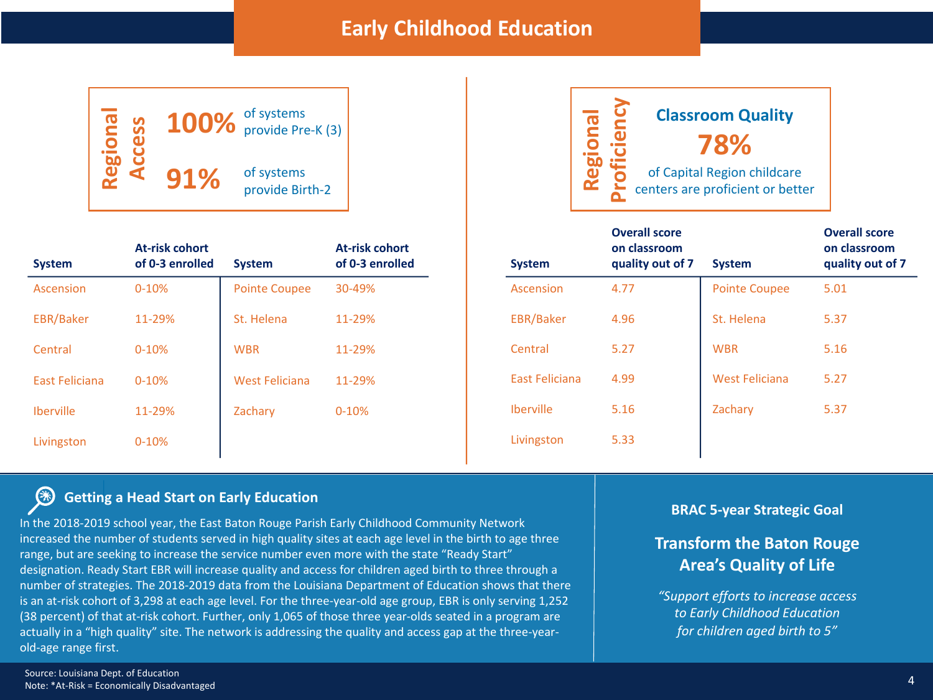# **Early Childhood Education**



| <b>RU</b> | <b>Classroom Quality</b>                                        |
|-----------|-----------------------------------------------------------------|
|           | 78%                                                             |
|           | of Capital Region childcare<br>centers are proficient or better |
|           | <b>Overall score</b>                                            |

| <b>System</b>    | <b>At-risk cohort</b><br>of 0-3 enrolled | <b>System</b>        | At-risk cohort<br>of 0-3 enrolled |
|------------------|------------------------------------------|----------------------|-----------------------------------|
| Ascension        | $0 - 10%$                                | <b>Pointe Coupee</b> | 30-49%                            |
| <b>EBR/Baker</b> | 11-29%                                   | St. Helena           | 11-29%                            |
| Central          | $0 - 10%$                                | <b>WBR</b>           | 11-29%                            |
| East Feliciana   | $0 - 10%$                                | West Feliciana       | 11-29%                            |
| <b>Iberville</b> | 11-29%                                   | Zachary              | $0 - 10%$                         |
| Livingston       | $0 - 10%$                                |                      |                                   |

| <b>System</b>    | <b>Overall score</b><br>on classroom<br>quality out of 7 | <b>System</b>         | <b>Overall score</b><br>on classroom<br>quality out of 7 |  |
|------------------|----------------------------------------------------------|-----------------------|----------------------------------------------------------|--|
| Ascension        | 4.77                                                     | <b>Pointe Coupee</b>  | 5.01                                                     |  |
| <b>EBR/Baker</b> | 4.96                                                     | St. Helena            | 5.37                                                     |  |
| Central          | 5.27                                                     | <b>WBR</b>            | 5.16                                                     |  |
| East Feliciana   | 4.99                                                     | <b>West Feliciana</b> | 5.27                                                     |  |
| <b>Iberville</b> | 5.16                                                     | Zachary               | 5.37                                                     |  |
| Livingston       | 5.33                                                     |                       |                                                          |  |

### $\circledast$ **Getting a Head Start on Early Education**

In the 2018-2019 school year, the East Baton Rouge Parish Early Childhood Community Network increased the number of students served in high quality sites at each age level in the birth to age three range, but are seeking to increase the service number even more with the state "Ready Start" designation. Ready Start EBR will increase quality and access for children aged birth to three through a number of strategies. The 2018-2019 data from the Louisiana Department of Education shows that there is an at-risk cohort of 3,298 at each age level. For the three-year-old age group, EBR is only serving 1,252 (38 percent) of that at-risk cohort. Further, only 1,065 of those three year-olds seated in a program are actually in a "high quality" site. The network is addressing the quality and access gap at the three-yearold-age range first.

**BRAC 5-year Strategic Goal**

## **Transform the Baton Rouge Area's Quality of Life**

*"Support efforts to increase access to Early Childhood Education for children aged birth to 5"*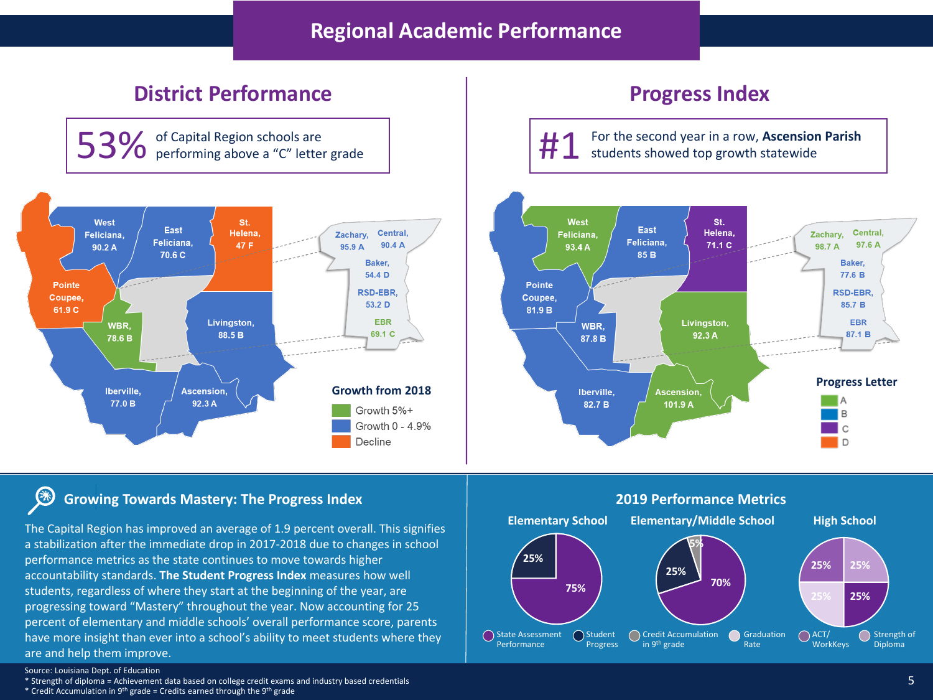# **Regional Academic Performance**

# **District Performance Progress Index**

of Capital Region schools are<br>performing above a "C" letter grade



**heraon For the second year in a row, Ascension Parish 3 For the second year in a row, Ascension Parish** students showed top growth statewide



### **Growing Towards Mastery: The Progress Index** (米

The Capital Region has improved an average of 1.9 percent overall. This signifies a stabilization after the immediate drop in 2017-2018 due to changes in school performance metrics as the state continues to move towards higher accountability standards. **The Student Progress Index** measures how well students, regardless of where they start at the beginning of the year, are progressing toward "Mastery" throughout the year. Now accounting for 25 percent of elementary and middle schools' overall performance score, parents have more insight than ever into a school's ability to meet students where they are and help them improve.



\* Strength of diploma = Achievement data based on college credit exams and industry based credentials

<sup>\*</sup> Credit Accumulation in 9<sup>th</sup> grade = Credits earned through the 9<sup>th</sup> grade